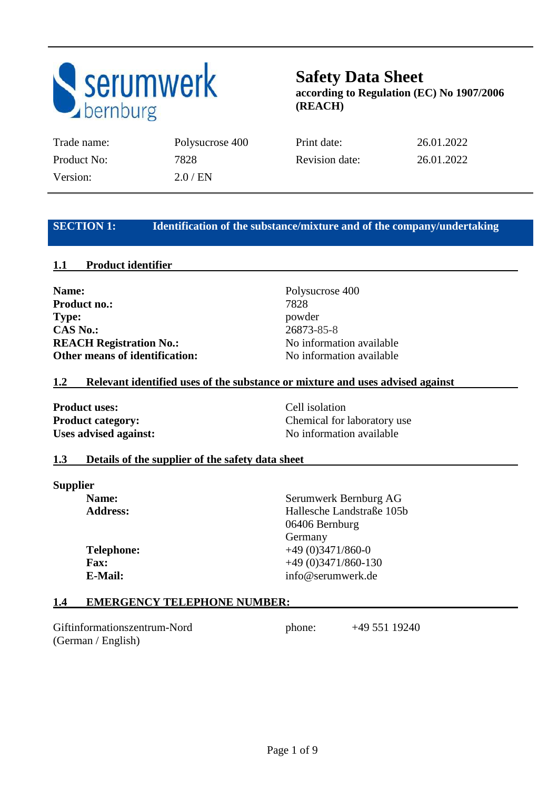

Version: 2.0 / EN

Trade name: Polysucrose 400 Print date: 26.01.2022 Product No: 7828 Revision date: 26.01.2022

### **SECTION 1:** Identification of the substance/mixture and of the company/undertaking

### **1.1 Product identifier**

Name: Polysucrose 400 **Product no.:** 7828 **Type:** powder **CAS No.:** 26873-85-8 **REACH Registration No.:** No information available **Other means of identification:** No information available

### **1.2 Relevant identified uses of the substance or mixture and uses advised against**

**Product uses:** Cell isolation

**Product category: Chemical for laboratory use**  $\blacksquare$ Uses advised against: No information available

### **1.3 Details of the supplier of the safety data sheet**

**Supplier**

**Name:** Serumwerk Bernburg AG  **Address:** Hallesche Landstraße 105b 06406 Bernburg Germany **Telephone:**  $+49 (0)3471/860-0$ **Fax:**  $+49 (0)3471/860-130$  **E-Mail:** info@serumwerk.de

### **1.4 EMERGENCY TELEPHONE NUMBER:**

Giftinformationszentrum-Nord phone: +49 551 19240 (German / English)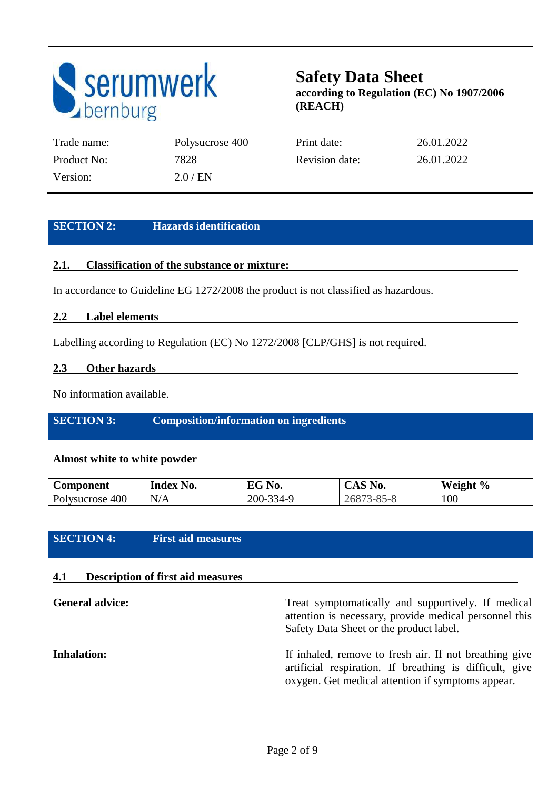

| Trade name: | Polysucrose 400 | Print date:    | 26.01.2022 |
|-------------|-----------------|----------------|------------|
| Product No: | 7828            | Revision date: | 26.01.2022 |
| Version:    | 2.0/EN          |                |            |

### **SECTION 2: Hazards identification**

### **2.1. Classification of the substance or mixture:**

In accordance to Guideline EG 1272/2008 the product is not classified as hazardous.

### **2.2 Label elements**

Labelling according to Regulation (EC) No 1272/2008 [CLP/GHS] is not required.

### **2.3 Other hazards**

No information available.

### **SECTION 3: Composition/information on ingredients**

### **Almost white to white powder**

| Component       | Index No. | $\nabla G$ No. | $\mathcal{S}$ No.<br>UAS. | Weight % |
|-----------------|-----------|----------------|---------------------------|----------|
| Polysucrose 400 | N/A       | 200-334-9      | $3 - 85 - 8$<br>26873     | 100      |

### **SECTION 4: First aid measures**

### **4.1 Description of first aid measures**

| <b>General advice:</b> | Treat symptomatically and supportively. If medical<br>attention is necessary, provide medical personnel this<br>Safety Data Sheet or the product label.                |  |  |
|------------------------|------------------------------------------------------------------------------------------------------------------------------------------------------------------------|--|--|
| <b>Inhalation:</b>     | If inhaled, remove to fresh air. If not breathing give<br>artificial respiration. If breathing is difficult, give<br>oxygen. Get medical attention if symptoms appear. |  |  |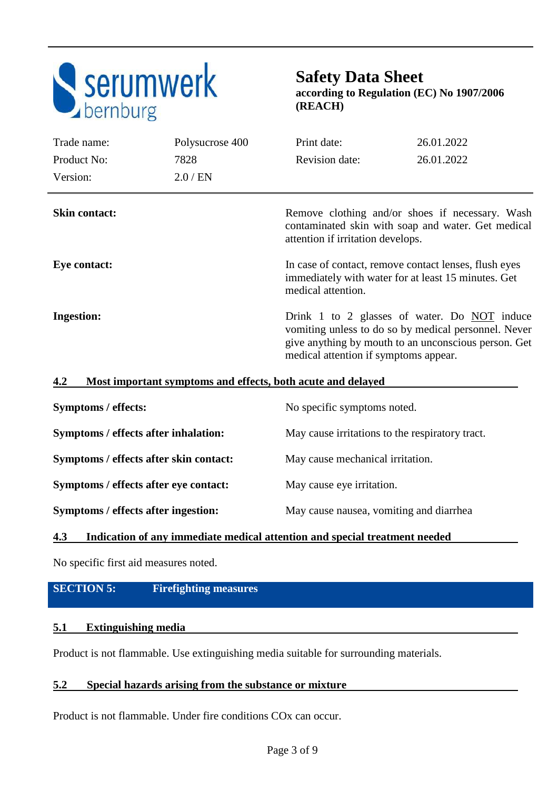

## **Safety Data Sheet**

**according to Regulation (EC) No 1907/2006 (REACH)** 

| Trade name:                                                                                                                                        | Polysucrose 400                                             | Print date:                                                                                                                                                                                           | 26.01.2022 |
|----------------------------------------------------------------------------------------------------------------------------------------------------|-------------------------------------------------------------|-------------------------------------------------------------------------------------------------------------------------------------------------------------------------------------------------------|------------|
| Product No:                                                                                                                                        | 7828                                                        | <b>Revision date:</b>                                                                                                                                                                                 | 26.01.2022 |
| Version:                                                                                                                                           | $2.0$ / EN                                                  |                                                                                                                                                                                                       |            |
| <b>Skin contact:</b>                                                                                                                               |                                                             | Remove clothing and/or shoes if necessary. Wash<br>contaminated skin with soap and water. Get medical<br>attention if irritation develops.                                                            |            |
| In case of contact, remove contact lenses, flush eyes<br>Eye contact:<br>immediately with water for at least 15 minutes. Get<br>medical attention. |                                                             |                                                                                                                                                                                                       |            |
| <b>Ingestion:</b>                                                                                                                                  |                                                             | Drink 1 to 2 glasses of water. Do NOT induce<br>vomiting unless to do so by medical personnel. Never<br>give anything by mouth to an unconscious person. Get<br>medical attention if symptoms appear. |            |
| 4.2                                                                                                                                                | Most important symptoms and effects, both acute and delayed |                                                                                                                                                                                                       |            |

| Symptoms / effects:                    | No specific symptoms noted.                     |
|----------------------------------------|-------------------------------------------------|
| Symptoms / effects after inhalation:   | May cause irritations to the respiratory tract. |
| Symptoms / effects after skin contact: | May cause mechanical irritation.                |
| Symptoms / effects after eye contact:  | May cause eye irritation.                       |
| Symptoms / effects after ingestion:    | May cause nausea, vomiting and diarrhea         |

### **4.3 Indication of any immediate medical attention and special treatment needed**

No specific first aid measures noted.

### **SECTION 5: Firefighting measures**

### **5.1 Extinguishing media**

Product is not flammable. Use extinguishing media suitable for surrounding materials.

### **5.2 Special hazards arising from the substance or mixture**

Product is not flammable. Under fire conditions COx can occur.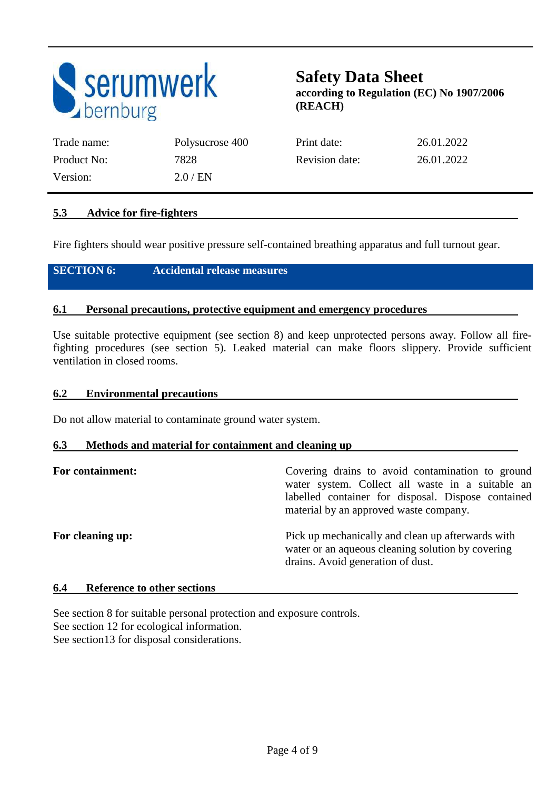

| Trade name: | Polysucrose 400 | Print date:    | 26.01.2022 |
|-------------|-----------------|----------------|------------|
| Product No: | 7828            | Revision date: | 26.01.2022 |
| Version:    | 2.0 / EN        |                |            |

### **5.3 Advice for fire-fighters**

Fire fighters should wear positive pressure self-contained breathing apparatus and full turnout gear.

### **SECTION 6: Accidental release measures**

### **6.1 Personal precautions, protective equipment and emergency procedures**

Use suitable protective equipment (see section 8) and keep unprotected persons away. Follow all firefighting procedures (see section 5). Leaked material can make floors slippery. Provide sufficient ventilation in closed rooms.

#### **6.2 Environmental precautions**

Do not allow material to contaminate ground water system.

#### **6.3 Methods and material for containment and cleaning up**

| For containment: | Covering drains to avoid contamination to ground<br>water system. Collect all waste in a suitable an<br>labelled container for disposal. Dispose contained<br>material by an approved waste company. |
|------------------|------------------------------------------------------------------------------------------------------------------------------------------------------------------------------------------------------|
| For cleaning up: | Pick up mechanically and clean up afterwards with<br>water or an aqueous cleaning solution by covering<br>drains. Avoid generation of dust.                                                          |

### **6.4 Reference to other sections**

See section 8 for suitable personal protection and exposure controls. See section 12 for ecological information. See section13 for disposal considerations.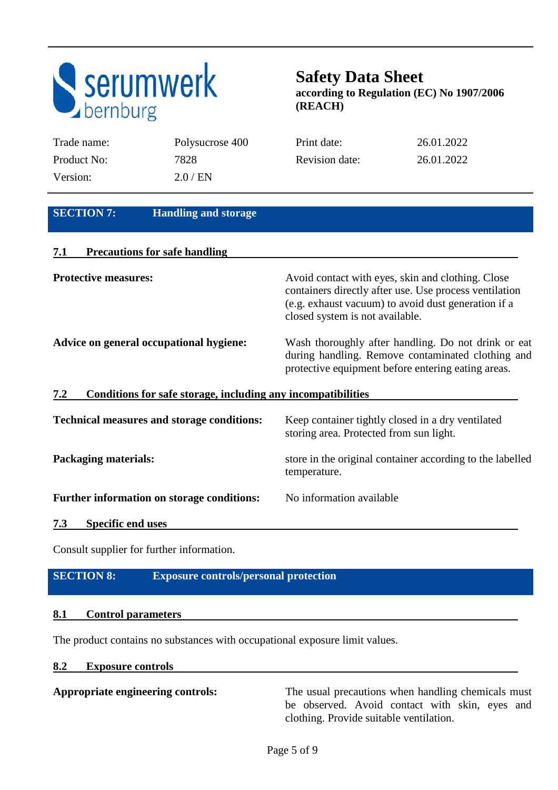

| Trade name:                             | Polysucrose 400                                              | Print date:                     | 26.01.2022                                                                                                                                                         |
|-----------------------------------------|--------------------------------------------------------------|---------------------------------|--------------------------------------------------------------------------------------------------------------------------------------------------------------------|
| Product No:                             | 7828                                                         | <b>Revision date:</b>           | 26.01.2022                                                                                                                                                         |
| Version:                                | $2.0$ / EN                                                   |                                 |                                                                                                                                                                    |
|                                         |                                                              |                                 |                                                                                                                                                                    |
| <b>SECTION 7:</b>                       | <b>Handling and storage</b>                                  |                                 |                                                                                                                                                                    |
| 7.1                                     | <b>Precautions for safe handling</b>                         |                                 |                                                                                                                                                                    |
| <b>Protective measures:</b>             |                                                              | closed system is not available. | Avoid contact with eyes, skin and clothing. Close<br>containers directly after use. Use process ventilation<br>(e.g. exhaust vacuum) to avoid dust generation if a |
| Advice on general occupational hygiene: |                                                              |                                 | Wash thoroughly after handling. Do not drink or eat<br>during handling. Remove contaminated clothing and<br>protective equipment before entering eating areas.     |
| 7.2                                     | Conditions for safe storage, including any incompatibilities |                                 |                                                                                                                                                                    |

| <b>Technical measures and storage conditions:</b> | Keep container tightly closed in a dry ventilated<br>storing area. Protected from sun light. |
|---------------------------------------------------|----------------------------------------------------------------------------------------------|
| <b>Packaging materials:</b>                       | store in the original container according to the labelled<br>temperature.                    |
| Further information on storage conditions:        | No information available                                                                     |
| <b>Specific end uses</b><br>7.3                   |                                                                                              |

Consult supplier for further information.

### **SECTION 8: Exposure controls/personal protection**

### **8.1 Control parameters**

The product contains no substances with occupational exposure limit values.

#### **8.2 Exposure controls**

Appropriate engineering controls: The usual precautions when handling chemicals must be observed. Avoid contact with skin, eyes and clothing. Provide suitable ventilation.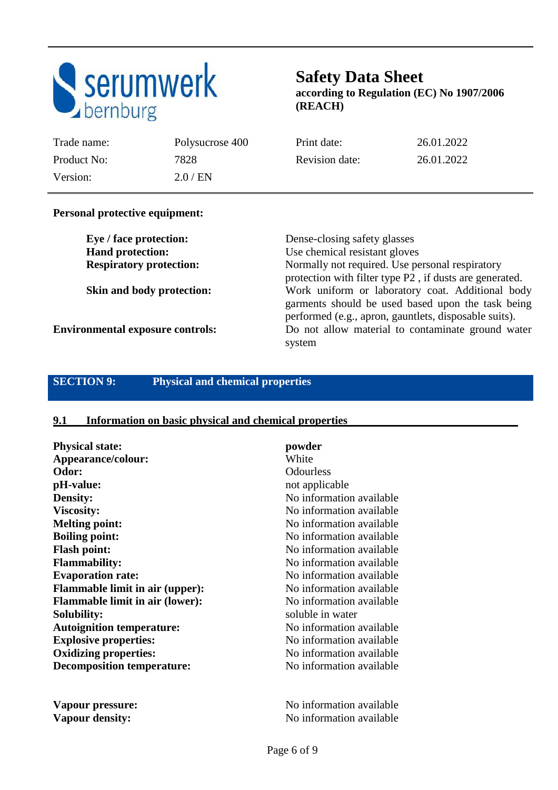

Trade name: Polysucrose 400 Print date: 26.01.2022 Product No: 7828 Revision date: 26.01.2022

### **Personal protective equipment:**

Version: 2.0 / EN

**Eye / face protection:** Dense-closing safety glasses **Hand protection:** Use chemical resistant gloves **Respiratory protection:** Normally not required. Use personal respiratory protection with filter type P2 , if dusts are generated. **Skin and body protection:** Work uniform or laboratory coat. Additional body garments should be used based upon the task being performed (e.g., apron, gauntlets, disposable suits). **Environmental exposure controls:** Do not allow material to contaminate ground water system

### **SECTION 9: Physical and chemical properties**

#### **9.1 Information on basic physical and chemical properties**

| <b>Physical state:</b>                 | powder                    |
|----------------------------------------|---------------------------|
| Appearance/colour:                     | White                     |
| Odor:                                  | Odourless                 |
| pH-value:                              | not applicable            |
| <b>Density:</b>                        | No information available  |
| <b>Viscosity:</b>                      | No information available  |
| <b>Melting point:</b>                  | No information available  |
| <b>Boiling point:</b>                  | No information available  |
| <b>Flash point:</b>                    | No information available  |
| <b>Flammability:</b>                   | No information available  |
| <b>Evaporation rate:</b>               | No information available  |
| <b>Flammable limit in air (upper):</b> | No information available  |
| <b>Flammable limit in air (lower):</b> | No information available  |
| <b>Solubility:</b>                     | soluble in water          |
| <b>Autoignition temperature:</b>       | No information available  |
| <b>Explosive properties:</b>           | No information available  |
| <b>Oxidizing properties:</b>           | No information available  |
| <b>Decomposition temperature:</b>      | No information available  |
| Vapour pressure:                       | No information available  |
| <b>Vapour density:</b>                 | No information available. |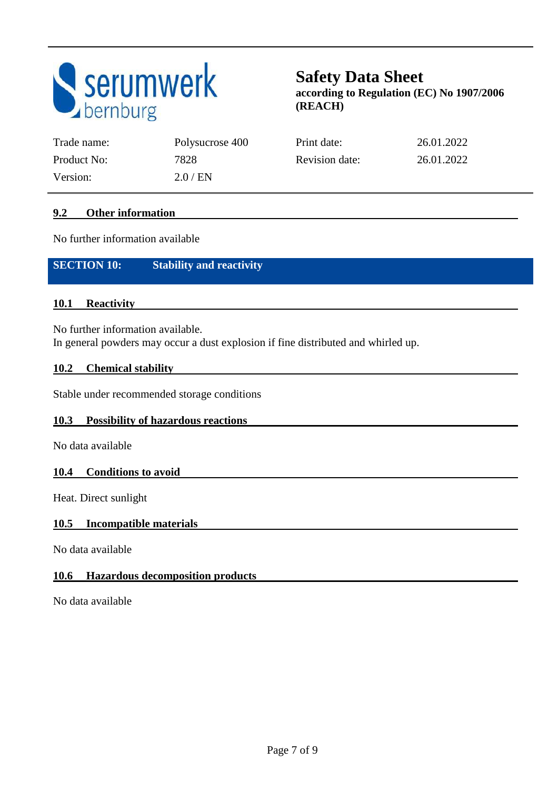

| Trade name: | Polysucrose 400 | Print date:    | 26.01.2022 |
|-------------|-----------------|----------------|------------|
| Product No: | 7828            | Revision date: | 26.01.2022 |
| Version:    | $2.0$ / EN      |                |            |

### **9.2 Other information**

No further information available

**SECTION 10: Stability and reactivity** 

### **10.1 Reactivity**

No further information available. In general powders may occur a dust explosion if fine distributed and whirled up.

### **10.2 Chemical stability**

Stable under recommended storage conditions

### **10.3 Possibility of hazardous reactions**

No data available

### **10.4 Conditions to avoid**

Heat. Direct sunlight

### **10.5 Incompatible materials**

No data available

### **10.6 Hazardous decomposition products**

No data available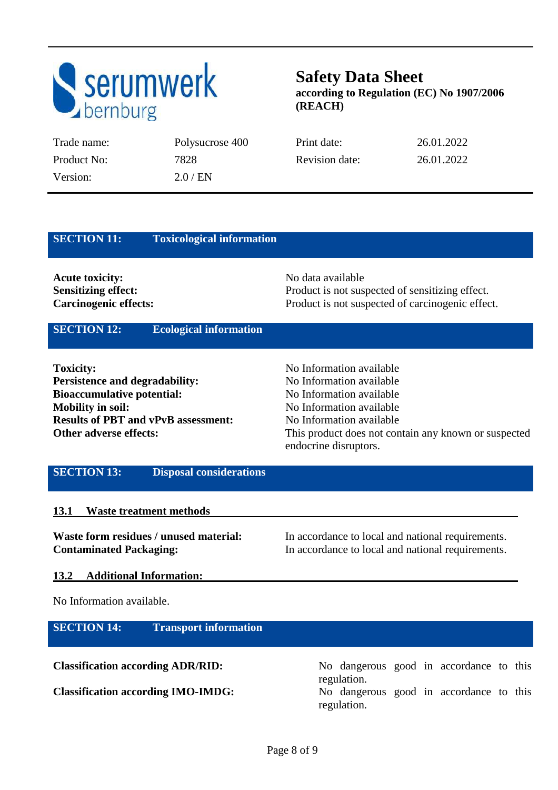

| Trade name: | Polysucrose 400 | Print date:           | 26.01.2022 |
|-------------|-----------------|-----------------------|------------|
| Product No: | 7828            | <b>Revision date:</b> | 26.01.2022 |
| Version:    | $2.0$ / EN      |                       |            |

| <b>SECTION 11:</b><br><b>Toxicological information</b>                                                                                                                                                    |                                                                                                                                                                                                                           |
|-----------------------------------------------------------------------------------------------------------------------------------------------------------------------------------------------------------|---------------------------------------------------------------------------------------------------------------------------------------------------------------------------------------------------------------------------|
| <b>Acute toxicity:</b><br><b>Sensitizing effect:</b><br><b>Carcinogenic effects:</b>                                                                                                                      | No data available<br>Product is not suspected of sensitizing effect.<br>Product is not suspected of carcinogenic effect.                                                                                                  |
| <b>SECTION 12:</b><br><b>Ecological information</b>                                                                                                                                                       |                                                                                                                                                                                                                           |
| <b>Toxicity:</b><br><b>Persistence and degradability:</b><br><b>Bioaccumulative potential:</b><br><b>Mobility in soil:</b><br><b>Results of PBT and vPvB assessment:</b><br><b>Other adverse effects:</b> | No Information available<br>No Information available<br>No Information available<br>No Information available<br>No Information available<br>This product does not contain any known or suspected<br>endocrine disruptors. |
| <b>SECTION 13:</b><br><b>Disposal considerations</b>                                                                                                                                                      |                                                                                                                                                                                                                           |
| <b>13.1</b><br><b>Waste treatment methods</b>                                                                                                                                                             |                                                                                                                                                                                                                           |

Waste form residues / unused material: In accordance to local and national requirements. **Contaminated Packaging:** In accordance to local and national requirements.

### **13.2 Additional Information:**

No Information available.

| <b>SECTION 14:</b>                        | <b>Transport information</b> |                                                        |
|-------------------------------------------|------------------------------|--------------------------------------------------------|
| <b>Classification according ADR/RID:</b>  |                              | No dangerous good in accordance to this<br>regulation. |
| <b>Classification according IMO-IMDG:</b> |                              | No dangerous good in accordance to this<br>regulation. |